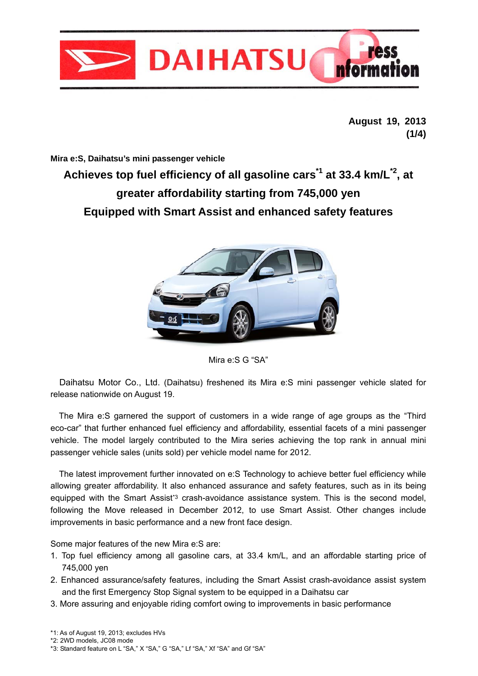

**August 19, 2013 (1/4)** 

**Mira e:S, Daihatsu's mini passenger vehicle** 

# **Achieves top fuel efficiency of all gasoline cars\*1 at 33.4 km/L\*2, at greater affordability starting from 745,000 yen Equipped with Smart Assist and enhanced safety features**





Daihatsu Motor Co., Ltd. (Daihatsu) freshened its Mira e:S mini passenger vehicle slated for release nationwide on August 19.

The Mira e:S garnered the support of customers in a wide range of age groups as the "Third eco-car" that further enhanced fuel efficiency and affordability, essential facets of a mini passenger vehicle. The model largely contributed to the Mira series achieving the top rank in annual mini passenger vehicle sales (units sold) per vehicle model name for 2012.

 The latest improvement further innovated on e:S Technology to achieve better fuel efficiency while allowing greater affordability. It also enhanced assurance and safety features, such as in its being equipped with the Smart Assist<sup>\*3</sup> crash-avoidance assistance system. This is the second model, following the Move released in December 2012, to use Smart Assist. Other changes include improvements in basic performance and a new front face design.

Some major features of the new Mira e:S are:

- 1. Top fuel efficiency among all gasoline cars, at 33.4 km/L, and an affordable starting price of 745,000 yen
- 2. Enhanced assurance/safety features, including the Smart Assist crash-avoidance assist system and the first Emergency Stop Signal system to be equipped in a Daihatsu car
- 3. More assuring and enjoyable riding comfort owing to improvements in basic performance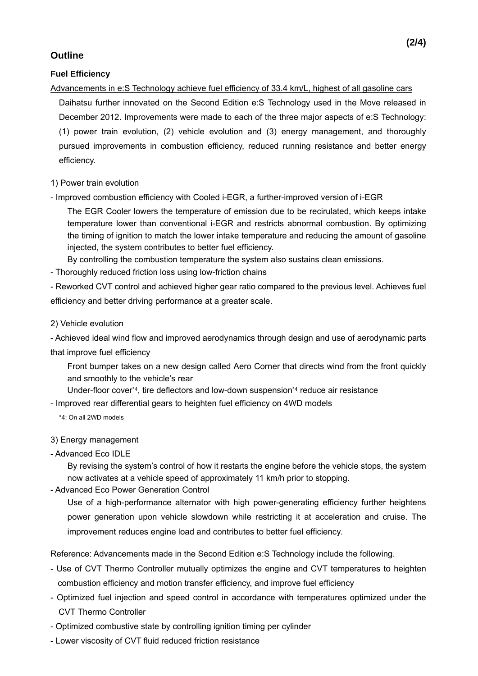## **Outline**

### **Fuel Efficiency**

### Advancements in e:S Technology achieve fuel efficiency of 33.4 km/L, highest of all gasoline cars

Daihatsu further innovated on the Second Edition e:S Technology used in the Move released in December 2012. Improvements were made to each of the three major aspects of e:S Technology: (1) power train evolution, (2) vehicle evolution and (3) energy management, and thoroughly pursued improvements in combustion efficiency, reduced running resistance and better energy efficiency.

### 1) Power train evolution

- Improved combustion efficiency with Cooled i-EGR, a further-improved version of i-EGR

The EGR Cooler lowers the temperature of emission due to be recirulated, which keeps intake temperature lower than conventional i-EGR and restricts abnormal combustion. By optimizing the timing of ignition to match the lower intake temperature and reducing the amount of gasoline injected, the system contributes to better fuel efficiency.

By controlling the combustion temperature the system also sustains clean emissions.

- Thoroughly reduced friction loss using low-friction chains

- Reworked CVT control and achieved higher gear ratio compared to the previous level. Achieves fuel efficiency and better driving performance at a greater scale.

### 2) Vehicle evolution

- Achieved ideal wind flow and improved aerodynamics through design and use of aerodynamic parts that improve fuel efficiency

Front bumper takes on a new design called Aero Corner that directs wind from the front quickly and smoothly to the vehicle's rear

Under-floor cover\*4, tire deflectors and low-down suspension\*4 reduce air resistance

- Improved rear differential gears to heighten fuel efficiency on 4WD models

\*4: On all 2WD models

### 3) Energy management

- Advanced Eco IDLE

 By revising the system's control of how it restarts the engine before the vehicle stops, the system now activates at a vehicle speed of approximately 11 km/h prior to stopping.

- Advanced Eco Power Generation Control

 Use of a high-performance alternator with high power-generating efficiency further heightens power generation upon vehicle slowdown while restricting it at acceleration and cruise. The improvement reduces engine load and contributes to better fuel efficiency.

Reference: Advancements made in the Second Edition e:S Technology include the following.

- Use of CVT Thermo Controller mutually optimizes the engine and CVT temperatures to heighten combustion efficiency and motion transfer efficiency, and improve fuel efficiency
- Optimized fuel injection and speed control in accordance with temperatures optimized under the CVT Thermo Controller
- Optimized combustive state by controlling ignition timing per cylinder
- Lower viscosity of CVT fluid reduced friction resistance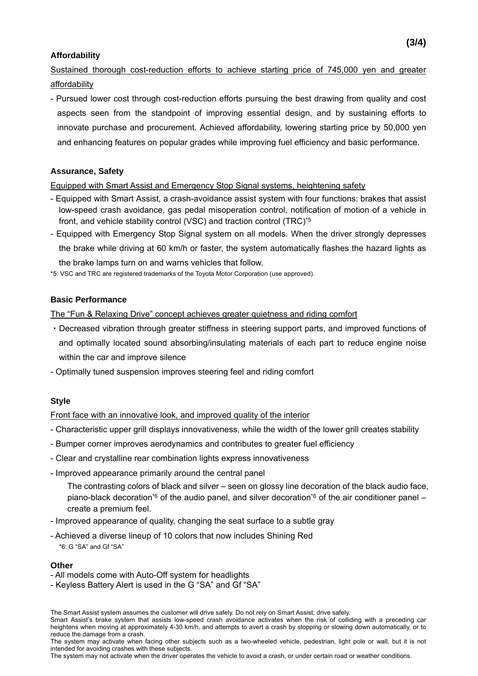#### **Affordability**

Sustained thorough cost-reduction efforts to achieve starting price of 745,000 yen and greater affordability

- Pursued lower cost through cost-reduction efforts pursuing the best drawing from quality and cost aspects seen from the standpoint of improving essential design, and by sustaining efforts to innovate purchase and procurement. Achieved affordability, lowering starting price by 50,000 yen and enhancing features on popular grades while improving fuel efficiency and basic performance.

#### **Assurance, Safety**

Equipped with Smart Assist and Emergency Stop Signal systems, heightening safety

- Equipped with Smart Assist, a crash-avoidance assist system with four functions: brakes that assist low-speed crash avoidance, gas pedal misoperation control, notification of motion of a vehicle in front, and vehicle stability control (VSC) and traction control (TRC)\*5
- Equipped with Emergency Stop Signal system on all models. When the driver strongly depresses the brake while driving at 60 km/h or faster, the system automatically flashes the hazard lights as the brake lamps turn on and warns vehicles that follow.

\*5: VSC and TRC are registered trademarks of the Toyota Motor Corporation (use approved).

#### **Basic Performance**

The "Fun & Relaxing Drive" concept achieves greater quietness and riding comfort

- ・Decreased vibration through greater stiffness in steering support parts, and improved functions of and optimally located sound absorbing/insulating materials of each part to reduce engine noise within the car and improve silence
- Optimally tuned suspension improves steering feel and riding comfort

### **Style**

Front face with an innovative look, and improved quality of the interior

- Characteristic upper grill displays innovativeness, while the width of the lower grill creates stability
- Bumper corner improves aerodynamics and contributes to greater fuel efficiency
- Clear and crystalline rear combination lights express innovativeness
- Improved appearance primarily around the central panel

The contrasting colors of black and silver – seen on glossy line decoration of the black audio face, piano-black decoration<sup>\*6</sup> of the audio panel, and silver decoration<sup>\*6</sup> of the air conditioner panel – create a premium feel.

- Improved appearance of quality, changing the seat surface to a subtle gray
- Achieved a diverse lineup of 10 colors that now includes Shining Red \*6: G "SA" and Gf "SA"

#### **Other**

- All models come with Auto-Off system for headlights
- Keyless Battery Alert is used in the G "SA" and Gf "SA"

The Smart Assist system assumes the customer will drive safely. Do not rely on Smart Assist; drive safely.

Smart Assist's brake system that assists low-speed crash avoidance activates when the risk of colliding with a preceding car heightens when moving at approximately 4-30 km/h, and attempts to avert a crash by stopping or slowing down automatically, or to reduce the damage from a crash.

The system may activate when facing other subjects such as a two-wheeled vehicle, pedestrian, light pole or wall, but it is not intended for avoiding crashes with these subjects.

The system may not activate when the driver operates the vehicle to avoid a crash, or under certain road or weather conditions.